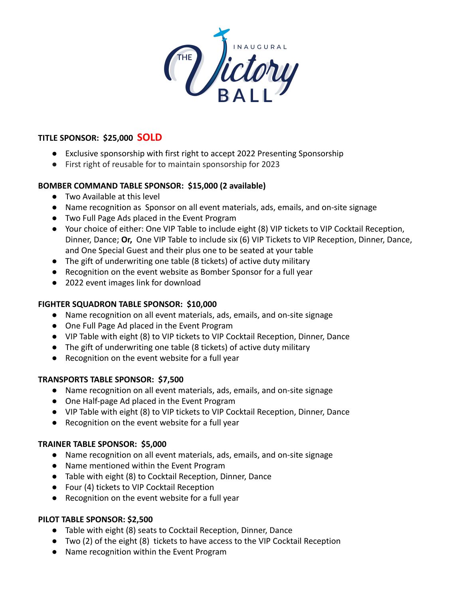

#### **TITLE SPONSOR: \$25,000 SOLD**

- Exclusive sponsorship with first right to accept 2022 Presenting Sponsorship
- First right of reusable for to maintain sponsorship for 2023

# **BOMBER COMMAND TABLE SPONSOR: \$15,000 (2 available)**

- Two Available at this level
- Name recognition as Sponsor on all event materials, ads, emails, and on-site signage
- Two Full Page Ads placed in the Event Program
- Your choice of either: One VIP Table to include eight (8) VIP tickets to VIP Cocktail Reception, Dinner, Dance; **Or,** One VIP Table to include six (6) VIP Tickets to VIP Reception, Dinner, Dance, and One Special Guest and their plus one to be seated at your table
- The gift of underwriting one table (8 tickets) of active duty military
- Recognition on the event website as Bomber Sponsor for a full year
- 2022 event images link for download

#### **FIGHTER SQUADRON TABLE SPONSOR: \$10,000**

- Name recognition on all event materials, ads, emails, and on-site signage
- One Full Page Ad placed in the Event Program
- VIP Table with eight (8) to VIP tickets to VIP Cocktail Reception, Dinner, Dance
- The gift of underwriting one table (8 tickets) of active duty military
- Recognition on the event website for a full year

# **TRANSPORTS TABLE SPONSOR: \$7,500**

- Name recognition on all event materials, ads, emails, and on-site signage
- One Half-page Ad placed in the Event Program
- VIP Table with eight (8) to VIP tickets to VIP Cocktail Reception, Dinner, Dance
- Recognition on the event website for a full year

# **TRAINER TABLE SPONSOR: \$5,000**

- Name recognition on all event materials, ads, emails, and on-site signage
- Name mentioned within the Event Program
- Table with eight (8) to Cocktail Reception, Dinner, Dance
- Four (4) tickets to VIP Cocktail Reception
- Recognition on the event website for a full year

# **PILOT TABLE SPONSOR: \$2,500**

- Table with eight (8) seats to Cocktail Reception, Dinner, Dance
- Two (2) of the eight (8) tickets to have access to the VIP Cocktail Reception
- Name recognition within the Event Program